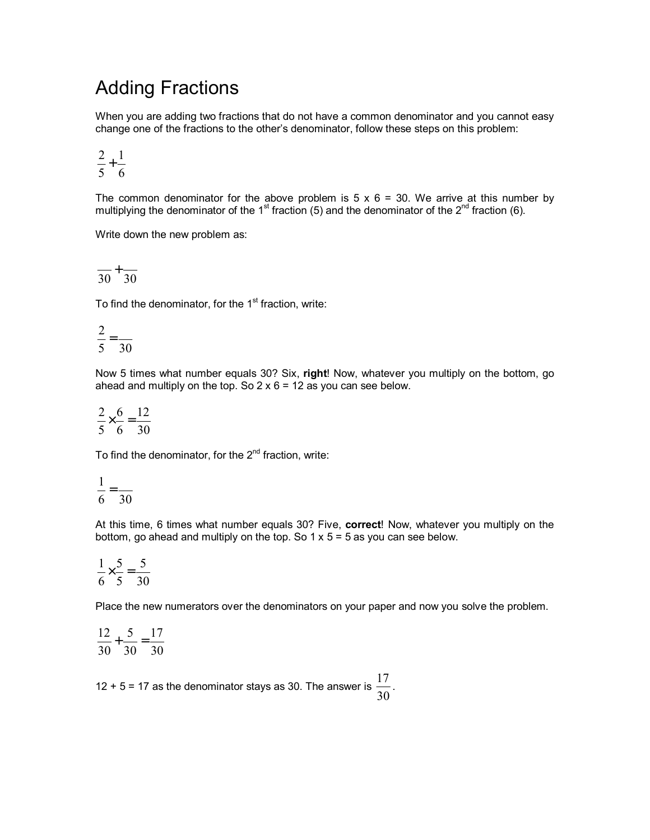## Adding Fractions

When you are adding two fractions that do not have a common denominator and you cannot easy change one of the fractions to the otherís denominator, follow these steps on this problem:

$$
\frac{2}{5} + \frac{1}{6}
$$

The common denominator for the above problem is  $5 \times 6 = 30$ . We arrive at this number by multiplying the denominator of the 1<sup>st</sup> fraction (5) and the denominator of the 2<sup>nd</sup> fraction (6).

Write down the new problem as:

$$
\frac{}{30}+\frac{}{30}
$$

To find the denominator, for the  $1<sup>st</sup>$  fraction, write:

$$
\frac{2}{5} = \frac{2}{30}
$$

Now 5 times what number equals 30? Six, **right**! Now, whatever you multiply on the bottom, go ahead and multiply on the top. So  $2 \times 6 = 12$  as you can see below.

$$
\frac{2}{5} \times \frac{6}{6} = \frac{12}{30}
$$

To find the denominator, for the  $2^{nd}$  fraction, write:

$$
\frac{1}{6} = \frac{1}{30}
$$

At this time, 6 times what number equals 30? Five, **correct**! Now, whatever you multiply on the bottom, go ahead and multiply on the top. So  $1 \times 5 = 5$  as you can see below.

30 5 5 5 6  $\frac{1}{2} \times \frac{5}{7} =$ 

Place the new numerators over the denominators on your paper and now you solve the problem.

$$
\frac{12}{30} + \frac{5}{30} = \frac{17}{30}
$$

12 + 5 = 17 as the denominator stays as 30. The answer is  $\frac{1}{30}$  $\frac{17}{20}$ .